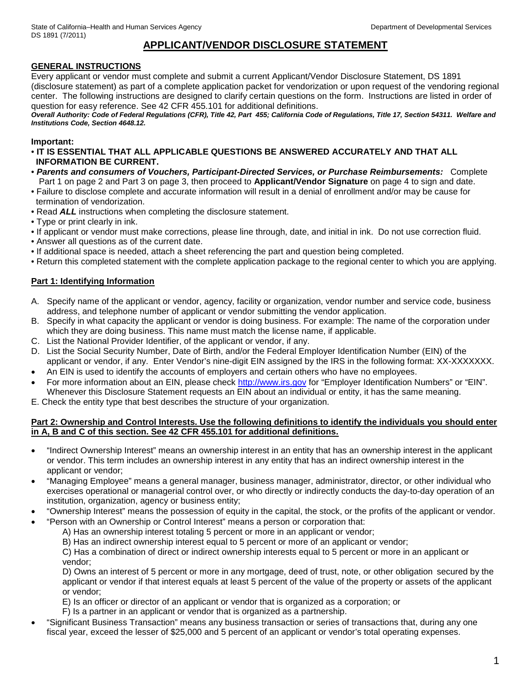# **APPLICANT/VENDOR DISCLOSURE STATEMENT**

# **GENERAL INSTRUCTIONS**

Every applicant or vendor must complete and submit a current Applicant/Vendor Disclosure Statement, DS 1891 (disclosure statement) as part of a complete application packet for vendorization or upon request of the vendoring regional center. The following instructions are designed to clarify certain questions on the form. Instructions are listed in order of question for easy reference. See 42 CFR 455.101 for additional definitions.

*Overall Authority: Code of Federal Regulations (CFR), Title 42, Part 455; California Code of Regulations, Title 17, Section 54311. Welfare and Institutions Code, Section 4648.12.*

## **Important:**

- **IT IS ESSENTIAL THAT ALL APPLICABLE QUESTIONS BE ANSWERED ACCURATELY AND THAT ALL INFORMATION BE CURRENT.**
- *Parents and consumers of Vouchers, Participant-Directed Services, or Purchase Reimbursements:* Complete Part 1 on page 2 and Part 3 on page 3, then proceed to **Applicant/Vendor Signature** on page 4 to sign and date.
- Failure to disclose complete and accurate information will result in a denial of enrollment and/or may be cause for termination of vendorization.
- Read *ALL* instructions when completing the disclosure statement.
- Type or print clearly in ink.
- If applicant or vendor must make corrections, please line through, date, and initial in ink. Do not use correction fluid.
- Answer all questions as of the current date.
- If additional space is needed, attach a sheet referencing the part and question being completed.
- Return this completed statement with the complete application package to the regional center to which you are applying.

# **Part 1: Identifying Information**

- A. Specify name of the applicant or vendor, agency, facility or organization, vendor number and service code, business address, and telephone number of applicant or vendor submitting the vendor application.
- B. Specify in what capacity the applicant or vendor is doing business. For example: The name of the corporation under which they are doing business. This name must match the license name, if applicable.
- C. List the National Provider Identifier, of the applicant or vendor, if any.
- D. List the Social Security Number, Date of Birth, and/or the Federal Employer Identification Number (EIN) of the applicant or vendor, if any. Enter Vendor's nine-digit EIN assigned by the IRS in the following format: XX-XXXXXXX.
- An EIN is used to identify the accounts of employers and certain others who have no employees.
- For more information about an EIN, please check [http://www.irs.gov](http://www.irs.gov/) for "Employer Identification Numbers" or "EIN". Whenever this Disclosure Statement requests an EIN about an individual or entity, it has the same meaning.
- E. Check the entity type that best describes the structure of your organization.

## **Part 2: Ownership and Control Interests. Use the following definitions to identify the individuals you should enter in A, B and C of this section. See 42 CFR 455.101 for additional definitions.**

- "Indirect Ownership Interest" means an ownership interest in an entity that has an ownership interest in the applicant or vendor. This term includes an ownership interest in any entity that has an indirect ownership interest in the applicant or vendor;
- "Managing Employee" means a general manager, business manager, administrator, director, or other individual who exercises operational or managerial control over, or who directly or indirectly conducts the day-to-day operation of an institution, organization, agency or business entity;
- "Ownership Interest" means the possession of equity in the capital, the stock, or the profits of the applicant or vendor.
- "Person with an Ownership or Control Interest" means a person or corporation that:
	- A) Has an ownership interest totaling 5 percent or more in an applicant or vendor;

B) Has an indirect ownership interest equal to 5 percent or more of an applicant or vendor;

C) Has a combination of direct or indirect ownership interests equal to 5 percent or more in an applicant or vendor;

D) Owns an interest of 5 percent or more in any mortgage, deed of trust, note, or other obligation secured by the applicant or vendor if that interest equals at least 5 percent of the value of the property or assets of the applicant or vendor;

- E) Is an officer or director of an applicant or vendor that is organized as a corporation; or
- F) Is a partner in an applicant or vendor that is organized as a partnership.
- "Significant Business Transaction" means any business transaction or series of transactions that, during any one fiscal year, exceed the lesser of \$25,000 and 5 percent of an applicant or vendor's total operating expenses.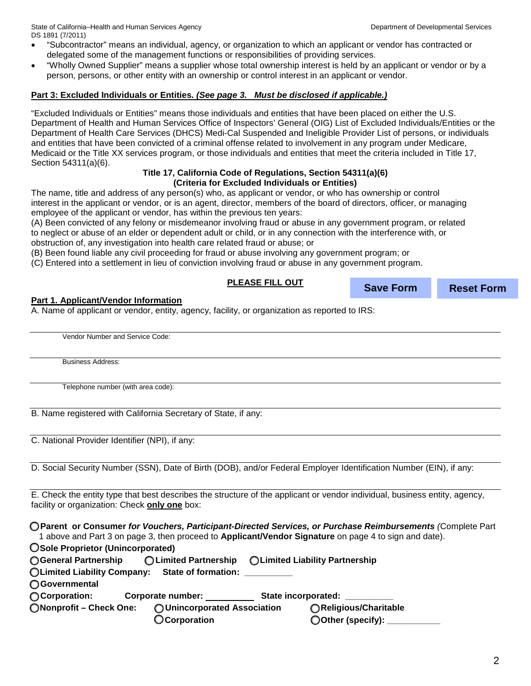State of California–Health and Human Services Agency Department of Developmental Services DS 1891 (7/2011)

- "Subcontractor" means an individual, agency, or organization to which an applicant or vendor has contracted or delegated some of the management functions or responsibilities of providing services.
- "Wholly Owned Supplier" means a supplier whose total ownership interest is held by an applicant or vendor or by a person, persons, or other entity with an ownership or control interest in an applicant or vendor.

## **Part 3: Excluded Individuals or Entities.** *(See page 3. Must be disclosed if applicable.)*

"Excluded Individuals or Entities" means those individuals and entities that have been placed on either the U.S. Department of Health and Human Services Office of Inspectors' General (OIG) List of Excluded Individuals/Entities or the Department of Health Care Services (DHCS) Medi-Cal Suspended and Ineligible Provider List of persons, or individuals and entities that have been convicted of a criminal offense related to involvement in any program under Medicare, Medicaid or the Title XX services program, or those individuals and entities that meet the criteria included in Title 17, Section 54311(a)(6).

#### **Title 17, California Code of Regulations, Section 54311(a)(6) (Criteria for Excluded Individuals or Entities)**

The name, title and address of any person(s) who, as applicant or vendor, or who has ownership or control interest in the applicant or vendor, or is an agent, director, members of the board of directors, officer, or managing employee of the applicant or vendor, has within the previous ten years:

(A) Been convicted of any felony or misdemeanor involving fraud or abuse in any government program, or related to neglect or abuse of an elder or dependent adult or child, or in any connection with the interference with, or obstruction of, any investigation into health care related fraud or abuse; or

(B) Been found liable any civil proceeding for fraud or abuse involving any government program; or

(C) Entered into a settlement in lieu of conviction involving fraud or abuse in any government program.

#### **PLEASE FILL OUT Part 1. Applicant/Vendor Information Save Form Reset Form**

A. Name of applicant or vendor, entity, agency, facility, or organization as reported to IRS:

Vendor Number and Service Code:

Business Address:

Telephone number (with area code):

B. Name registered with California Secretary of State, if any:

C. National Provider Identifier (NPI), if any:

D. Social Security Number (SSN), Date of Birth (DOB), and/or Federal Employer Identification Number (EIN), if any:

E. Check the entity type that best describes the structure of the applicant or vendor individual, business entity, agency, facility or organization: Check **only one** box:

**□ Parent or Consumer** *for Vouchers, Participant-Directed Services, or Purchase Reimbursements (*Complete Part 1 above and Part 3 on page 3, then proceed to **Applicant/Vendor Signature** on page 4 to sign and date).

**□ Sole Proprietor (Unincorporated)** 

| ○ General Partnership                                      |                              | ◯ Limited Partnership ◯ Limited Liability Partnership |  |
|------------------------------------------------------------|------------------------------|-------------------------------------------------------|--|
| OLimited Liability Company:                                | <b>State of formation:</b>   |                                                       |  |
| <b>O</b> Governmental                                      |                              |                                                       |  |
| ◯ Corporation:<br>State incorporated:<br>Corporate number: |                              |                                                       |  |
| ONonprofit - Check One:                                    | O Unincorporated Association | ○Religious/Charitable                                 |  |
|                                                            | <b>OCorporation</b>          | ◯Other (specify):                                     |  |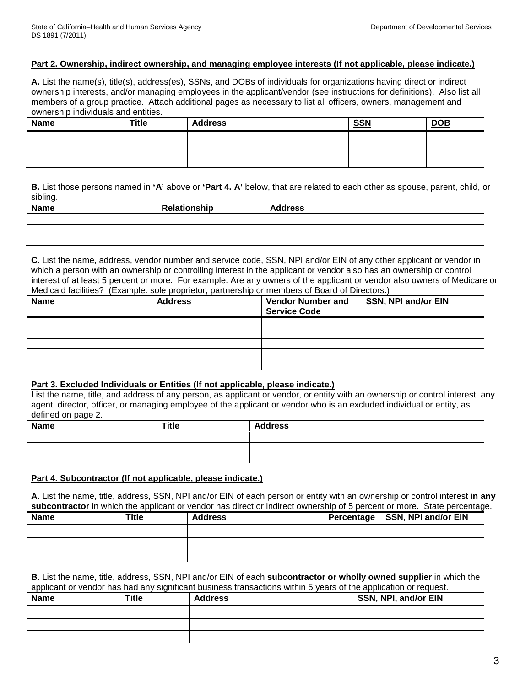## **Part 2. Ownership, indirect ownership, and managing employee interests (If not applicable, please indicate.)**

**A.** List the name(s), title(s), address(es), SSNs, and DOBs of individuals for organizations having direct or indirect ownership interests, and/or managing employees in the applicant/vendor (see instructions for definitions). Also list all members of a group practice. Attach additional pages as necessary to list all officers, owners, management and ownership individuals and entities.

| <b>Name</b> | <b>Title</b> | <b>Address</b> | <b>SSN</b> | $\underline{\mathsf{DOB}}$ |
|-------------|--------------|----------------|------------|----------------------------|
|             |              |                |            |                            |
|             |              |                |            |                            |
|             |              |                |            |                            |

**B.** List those persons named in **'A'** above or **'Part 4. A'** below, that are related to each other as spouse, parent, child, or sibling.

| Name | Relationship | <b>Address</b> |
|------|--------------|----------------|
|      |              |                |
|      |              |                |
|      |              |                |

**C.** List the name, address, vendor number and service code, SSN, NPI and/or EIN of any other applicant or vendor in which a person with an ownership or controlling interest in the applicant or vendor also has an ownership or control interest of at least 5 percent or more. For example: Are any owners of the applicant or vendor also owners of Medicare or Medicaid facilities? (Example: sole proprietor, partnership or members of Board of Directors.)

| <b>Name</b> | <b>Address</b> | <b>Vendor Number and</b><br><b>Service Code</b> | SSN, NPI and/or EIN |
|-------------|----------------|-------------------------------------------------|---------------------|
|             |                |                                                 |                     |
|             |                |                                                 |                     |
|             |                |                                                 |                     |
|             |                |                                                 |                     |
|             |                |                                                 |                     |

#### **Part 3. Excluded Individuals or Entities (If not applicable, please indicate.)**

List the name, title, and address of any person, as applicant or vendor, or entity with an ownership or control interest, any agent, director, officer, or managing employee of the applicant or vendor who is an excluded individual or entity, as defined on page 2.

| <b>Name</b> | <b>Title</b> | <b>Address</b> |
|-------------|--------------|----------------|
|             |              |                |
|             |              |                |
|             |              |                |

# **Part 4. Subcontractor (If not applicable, please indicate.)**

**A.** List the name, title, address, SSN, NPI and/or EIN of each person or entity with an ownership or control interest **in any** subcontractor in which the applicant or vendor has direct or indirect ownership of 5 percent or more. State percentage.

| <b>Name</b> | Title | <b>Address</b> | Percentage   SSN, NPI and/or EIN |
|-------------|-------|----------------|----------------------------------|
|             |       |                |                                  |
|             |       |                |                                  |
|             |       |                |                                  |

**B.** List the name, title, address, SSN, NPI and/or EIN of each **subcontractor or wholly owned supplier** in which the applicant or vendor has had any significant business transactions within 5 years of the application or request.

| <b>Name</b> | <b>Title</b> | <b>Address</b> | SSN, NPI, and/or EIN |
|-------------|--------------|----------------|----------------------|
|             |              |                |                      |
|             |              |                |                      |
|             |              |                |                      |